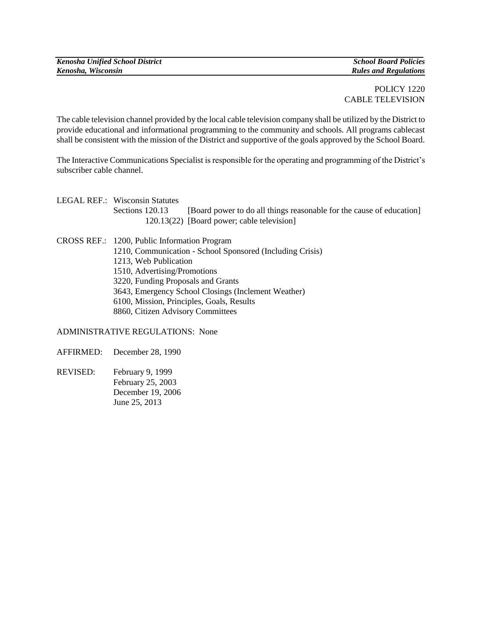## POLICY 1220 CABLE TELEVISION

The cable television channel provided by the local cable television company shall be utilized by the District to provide educational and informational programming to the community and schools. All programs cablecast shall be consistent with the mission of the District and supportive of the goals approved by the School Board.

The Interactive Communications Specialist is responsible for the operating and programming of the District's subscriber cable channel.

| LEGAL REF.: Wisconsin Statutes |                                                                      |
|--------------------------------|----------------------------------------------------------------------|
| Sections 120.13                | [Board power to do all things reasonable for the cause of education] |
|                                | 120.13(22) [Board power; cable television]                           |
|                                |                                                                      |

CROSS REF.: 1200, Public Information Program 1210, Communication - School Sponsored (Including Crisis) 1213, Web Publication 1510, Advertising/Promotions 3220, Funding Proposals and Grants 3643, Emergency School Closings (Inclement Weather) 6100, Mission, Principles, Goals, Results 8860, Citizen Advisory Committees

ADMINISTRATIVE REGULATIONS: None

AFFIRMED: December 28, 1990

REVISED: February 9, 1999 February 25, 2003 December 19, 2006 June 25, 2013